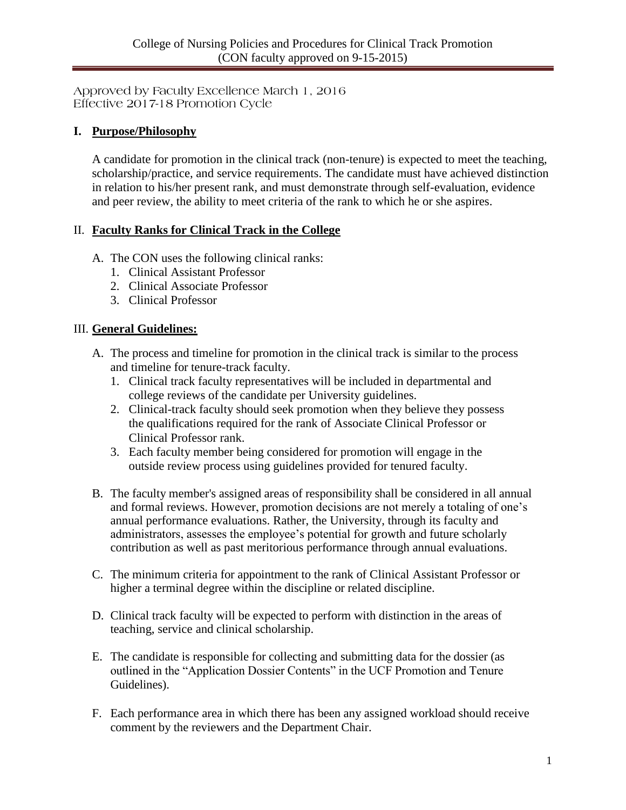Approved by Faculty Excellence March 1, 2016 Effective 2017-18 Promotion Cycle

#### **I. Purpose/Philosophy**

A candidate for promotion in the clinical track (non-tenure) is expected to meet the teaching, scholarship/practice, and service requirements. The candidate must have achieved distinction in relation to his/her present rank, and must demonstrate through self-evaluation, evidence and peer review, the ability to meet criteria of the rank to which he or she aspires.

#### II. **Faculty Ranks for Clinical Track in the College**

- A. The CON uses the following clinical ranks:
	- 1. Clinical Assistant Professor
	- 2. Clinical Associate Professor
	- 3. Clinical Professor

#### III. **General Guidelines:**

- A. The process and timeline for promotion in the clinical track is similar to the process and timeline for tenure-track faculty.
	- 1. Clinical track faculty representatives will be included in departmental and college reviews of the candidate per University guidelines.
	- 2. Clinical-track faculty should seek promotion when they believe they possess the qualifications required for the rank of Associate Clinical Professor or Clinical Professor rank.
	- 3. Each faculty member being considered for promotion will engage in the outside review process using guidelines provided for tenured faculty.
- B. The faculty member's assigned areas of responsibility shall be considered in all annual and formal reviews. However, promotion decisions are not merely a totaling of one's annual performance evaluations. Rather, the University, through its faculty and administrators, assesses the employee's potential for growth and future scholarly contribution as well as past meritorious performance through annual evaluations.
- C. The minimum criteria for appointment to the rank of Clinical Assistant Professor or higher a terminal degree within the discipline or related discipline.
- D. Clinical track faculty will be expected to perform with distinction in the areas of teaching, service and clinical scholarship.
- E. The candidate is responsible for collecting and submitting data for the dossier (as outlined in the "Application Dossier Contents" in the UCF Promotion and Tenure Guidelines).
- F. Each performance area in which there has been any assigned workload should receive comment by the reviewers and the Department Chair.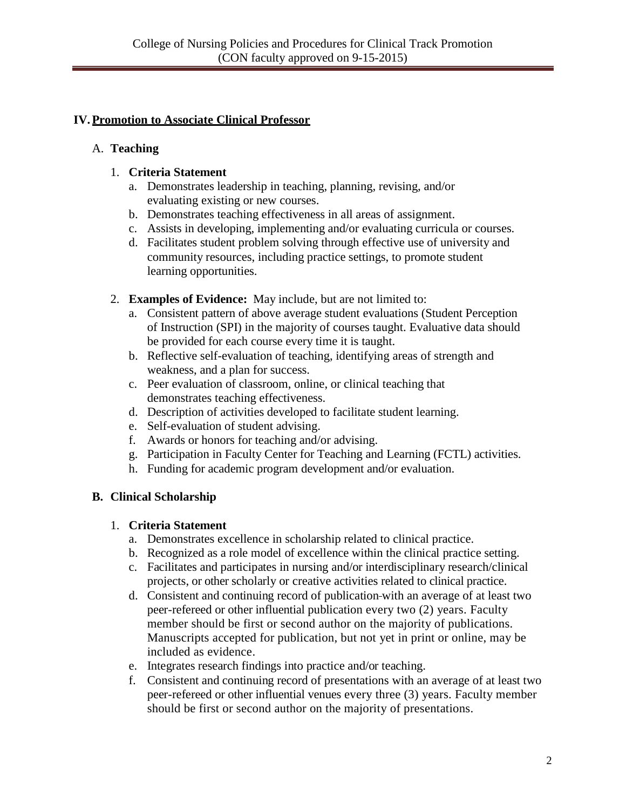# **IV.Promotion to Associate Clinical Professor**

## A. **Teaching**

### 1. **Criteria Statement**

- a. Demonstrates leadership in teaching, planning, revising, and/or evaluating existing or new courses.
- b. Demonstrates teaching effectiveness in all areas of assignment.
- c. Assists in developing, implementing and/or evaluating curricula or courses.
- d. Facilitates student problem solving through effective use of university and community resources, including practice settings, to promote student learning opportunities.
- 2. **Examples of Evidence:** May include, but are not limited to:
	- a. Consistent pattern of above average student evaluations (Student Perception of Instruction (SPI) in the majority of courses taught. Evaluative data should be provided for each course every time it is taught.
	- b. Reflective self-evaluation of teaching, identifying areas of strength and weakness, and a plan for success.
	- c. Peer evaluation of classroom, online, or clinical teaching that demonstrates teaching effectiveness.
	- d. Description of activities developed to facilitate student learning.
	- e. Self-evaluation of student advising.
	- f. Awards or honors for teaching and/or advising.
	- g. Participation in Faculty Center for Teaching and Learning (FCTL) activities.
	- h. Funding for academic program development and/or evaluation.

### **B. Clinical Scholarship**

### 1. **Criteria Statement**

- a. Demonstrates excellence in scholarship related to clinical practice.
- b. Recognized as a role model of excellence within the clinical practice setting.
- c. Facilitates and participates in nursing and/or interdisciplinary research/clinical projects, or other scholarly or creative activities related to clinical practice.
- d. Consistent and continuing record of publication with an average of at least two peer-refereed or other influential publication every two (2) years. Faculty member should be first or second author on the majority of publications. Manuscripts accepted for publication, but not yet in print or online, may be included as evidence.
- e. Integrates research findings into practice and/or teaching.
- f. Consistent and continuing record of presentations with an average of at least two peer-refereed or other influential venues every three (3) years. Faculty member should be first or second author on the majority of presentations.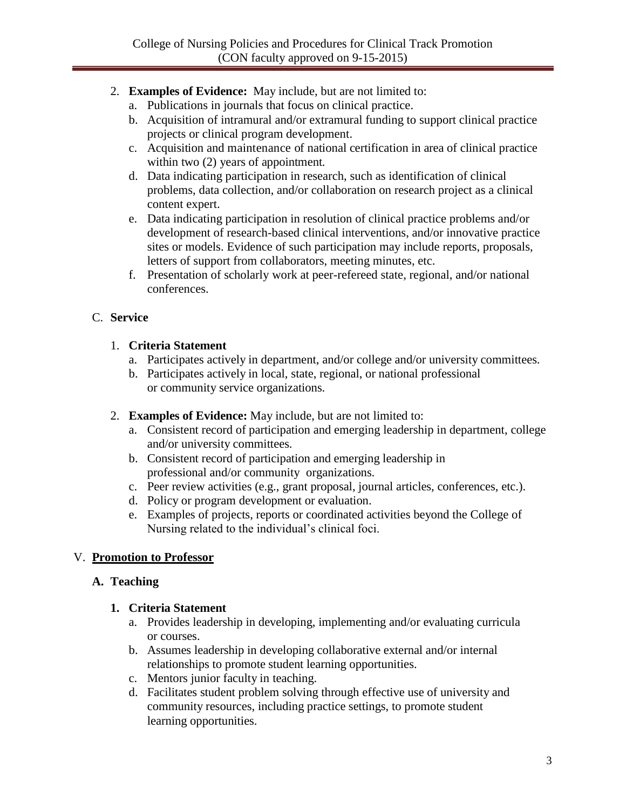- 2. **Examples of Evidence:** May include, but are not limited to:
	- a. Publications in journals that focus on clinical practice.
	- b. Acquisition of intramural and/or extramural funding to support clinical practice projects or clinical program development.
	- c. Acquisition and maintenance of national certification in area of clinical practice within two  $(2)$  years of appointment.
	- d. Data indicating participation in research, such as identification of clinical problems, data collection, and/or collaboration on research project as a clinical content expert.
	- e. Data indicating participation in resolution of clinical practice problems and/or development of research-based clinical interventions, and/or innovative practice sites or models. Evidence of such participation may include reports, proposals, letters of support from collaborators, meeting minutes, etc.
	- f. Presentation of scholarly work at peer-refereed state, regional, and/or national conferences.

## C. **Service**

### 1. **Criteria Statement**

- a. Participates actively in department, and/or college and/or university committees.
- b. Participates actively in local, state, regional, or national professional or community service organizations.
- 2. **Examples of Evidence:** May include, but are not limited to:
	- a. Consistent record of participation and emerging leadership in department, college and/or university committees.
	- b. Consistent record of participation and emerging leadership in professional and/or community organizations.
	- c. Peer review activities (e.g., grant proposal, journal articles, conferences, etc.).
	- d. Policy or program development or evaluation.
	- e. Examples of projects, reports or coordinated activities beyond the College of Nursing related to the individual's clinical foci.

# V. **Promotion to Professor**

# **A. Teaching**

### **1. Criteria Statement**

- a. Provides leadership in developing, implementing and/or evaluating curricula or courses.
- b. Assumes leadership in developing collaborative external and/or internal relationships to promote student learning opportunities.
- c. Mentors junior faculty in teaching.
- d. Facilitates student problem solving through effective use of university and community resources, including practice settings, to promote student learning opportunities.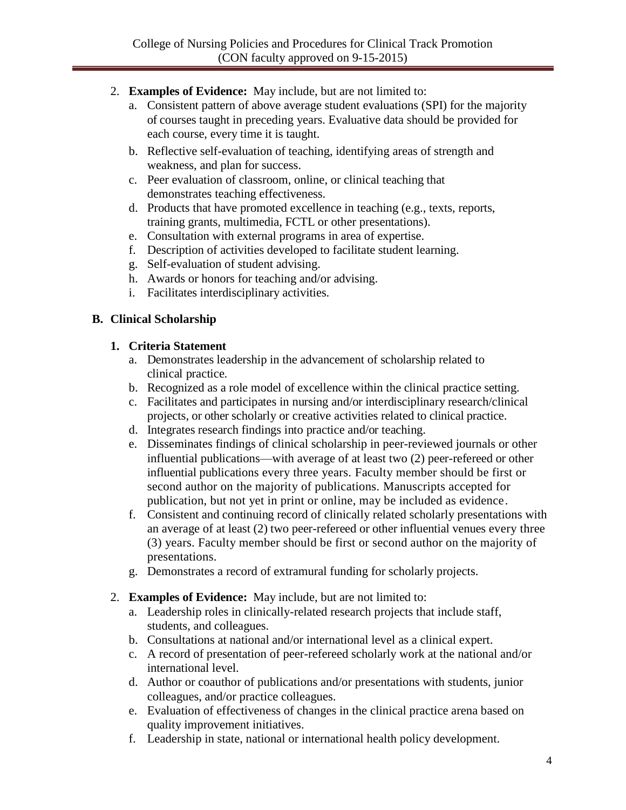- 2. **Examples of Evidence:** May include, but are not limited to:
	- a. Consistent pattern of above average student evaluations (SPI) for the majority of courses taught in preceding years. Evaluative data should be provided for each course, every time it is taught.
	- b. Reflective self-evaluation of teaching, identifying areas of strength and weakness, and plan for success.
	- c. Peer evaluation of classroom, online, or clinical teaching that demonstrates teaching effectiveness.
	- d. Products that have promoted excellence in teaching (e.g., texts, reports, training grants, multimedia, FCTL or other presentations).
	- e. Consultation with external programs in area of expertise.
	- f. Description of activities developed to facilitate student learning.
	- g. Self-evaluation of student advising.
	- h. Awards or honors for teaching and/or advising.
	- i. Facilitates interdisciplinary activities.

#### **B. Clinical Scholarship**

#### **1. Criteria Statement**

- a. Demonstrates leadership in the advancement of scholarship related to clinical practice.
- b. Recognized as a role model of excellence within the clinical practice setting.
- c. Facilitates and participates in nursing and/or interdisciplinary research/clinical projects, or other scholarly or creative activities related to clinical practice.
- d. Integrates research findings into practice and/or teaching.
- e. Disseminates findings of clinical scholarship in peer-reviewed journals or other influential publications—with average of at least two (2) peer-refereed or other influential publications every three years. Faculty member should be first or second author on the majority of publications. Manuscripts accepted for publication, but not yet in print or online, may be included as evidence.
- f. Consistent and continuing record of clinically related scholarly presentations with an average of at least (2) two peer-refereed or other influential venues every three (3) years. Faculty member should be first or second author on the majority of presentations.
- g. Demonstrates a record of extramural funding for scholarly projects.
- 2. **Examples of Evidence:** May include, but are not limited to:
	- a. Leadership roles in clinically-related research projects that include staff, students, and colleagues.
	- b. Consultations at national and/or international level as a clinical expert.
	- c. A record of presentation of peer-refereed scholarly work at the national and/or international level.
	- d. Author or coauthor of publications and/or presentations with students, junior colleagues, and/or practice colleagues.
	- e. Evaluation of effectiveness of changes in the clinical practice arena based on quality improvement initiatives.
	- f. Leadership in state, national or international health policy development.